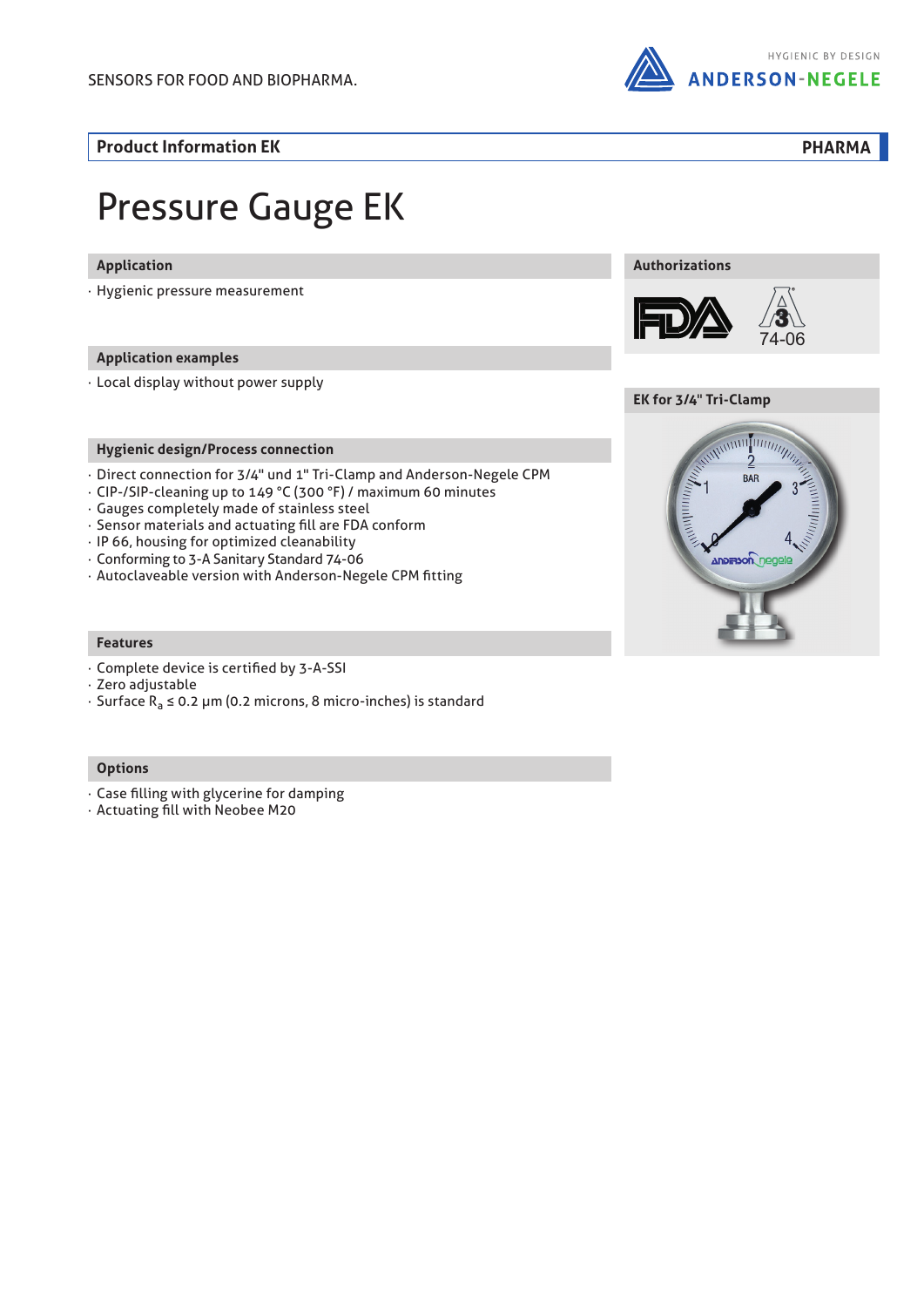

**Product Information EK PHARMA**

# Pressure Gauge EK

### **Application**

· Hygienic pressure measurement

### **Application examples**

· Local display without power supply

### **Hygienic design/Process connection**

- · Direct connection for 3/4" und 1" Tri-Clamp and Anderson-Negele CPM
- · CIP-/SIP-cleaning up to 149 °C (300 °F) / maximum 60 minutes
- · Gauges completely made of stainless steel
- · Sensor materials and actuating fill are FDA conform
- · IP 66, housing for optimized cleanability
- · Conforming to 3-A Sanitary Standard 74-06
- · Autoclaveable version with Anderson-Negele CPM fitting

### **Features**

- · Complete device is certified by 3-A-SSI
- · Zero adjustable
- · Surface Ra ≤ 0.2 µm (0.2 microns, 8 micro-inches) is standard

### **Options**

- · Case filling with glycerine for damping
- · Actuating fill with Neobee M20







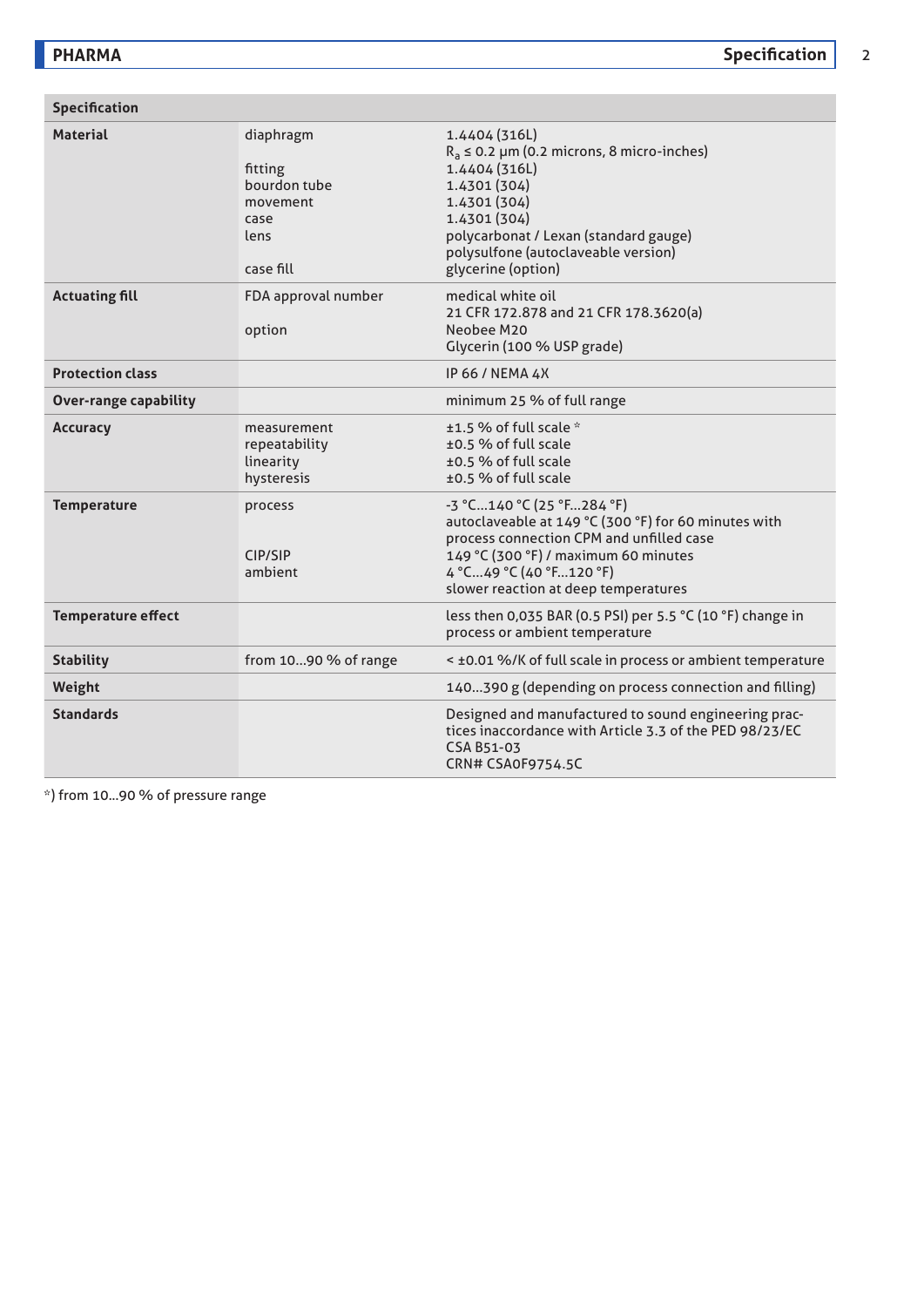| <b>Specification</b>         |                                                                               |                                                                                                                                                                                                                                            |  |  |  |  |
|------------------------------|-------------------------------------------------------------------------------|--------------------------------------------------------------------------------------------------------------------------------------------------------------------------------------------------------------------------------------------|--|--|--|--|
| <b>Material</b>              | diaphragm<br>fitting<br>bourdon tube<br>movement<br>case<br>lens<br>case fill | 1.4404 (316L)<br>$R_a \le 0.2$ µm (0.2 microns, 8 micro-inches)<br>1.4404 (316L)<br>1.4301(304)<br>1.4301 (304)<br>1.4301 (304)<br>polycarbonat / Lexan (standard gauge)<br>polysulfone (autoclaveable version)<br>glycerine (option)      |  |  |  |  |
| <b>Actuating fill</b>        | FDA approval number<br>option                                                 | medical white oil<br>21 CFR 172.878 and 21 CFR 178.3620(a)<br>Neobee M20<br>Glycerin (100 % USP grade)                                                                                                                                     |  |  |  |  |
| <b>Protection class</b>      |                                                                               | IP 66 / NEMA 4X                                                                                                                                                                                                                            |  |  |  |  |
| <b>Over-range capability</b> |                                                                               | minimum 25 % of full range                                                                                                                                                                                                                 |  |  |  |  |
| <b>Accuracy</b>              | measurement<br>repeatability<br>linearity<br>hysteresis                       | $±1.5$ % of full scale $*$<br>±0.5 % of full scale<br>±0.5 % of full scale<br>±0.5 % of full scale                                                                                                                                         |  |  |  |  |
| <b>Temperature</b>           | process<br>CIP/SIP<br>ambient                                                 | $-3$ °C140 °C (25 °F284 °F)<br>autoclaveable at 149 °C (300 °F) for 60 minutes with<br>process connection CPM and unfilled case<br>149 °C (300 °F) / maximum 60 minutes<br>4 °C49 °C (40 °F120 °F)<br>slower reaction at deep temperatures |  |  |  |  |
| <b>Temperature effect</b>    |                                                                               | less then 0,035 BAR (0.5 PSI) per 5.5 °C (10 °F) change in<br>process or ambient temperature                                                                                                                                               |  |  |  |  |
| <b>Stability</b>             | from 1090 % of range                                                          | < ±0.01 %/K of full scale in process or ambient temperature                                                                                                                                                                                |  |  |  |  |
| Weight                       |                                                                               | 140390 g (depending on process connection and filling)                                                                                                                                                                                     |  |  |  |  |
| <b>Standards</b>             |                                                                               | Designed and manufactured to sound engineering prac-<br>tices inaccordance with Article 3.3 of the PED 98/23/EC<br>CSA B51-03<br>CRN# CSA0F9754.5C                                                                                         |  |  |  |  |

\*) from 10...90 % of pressure range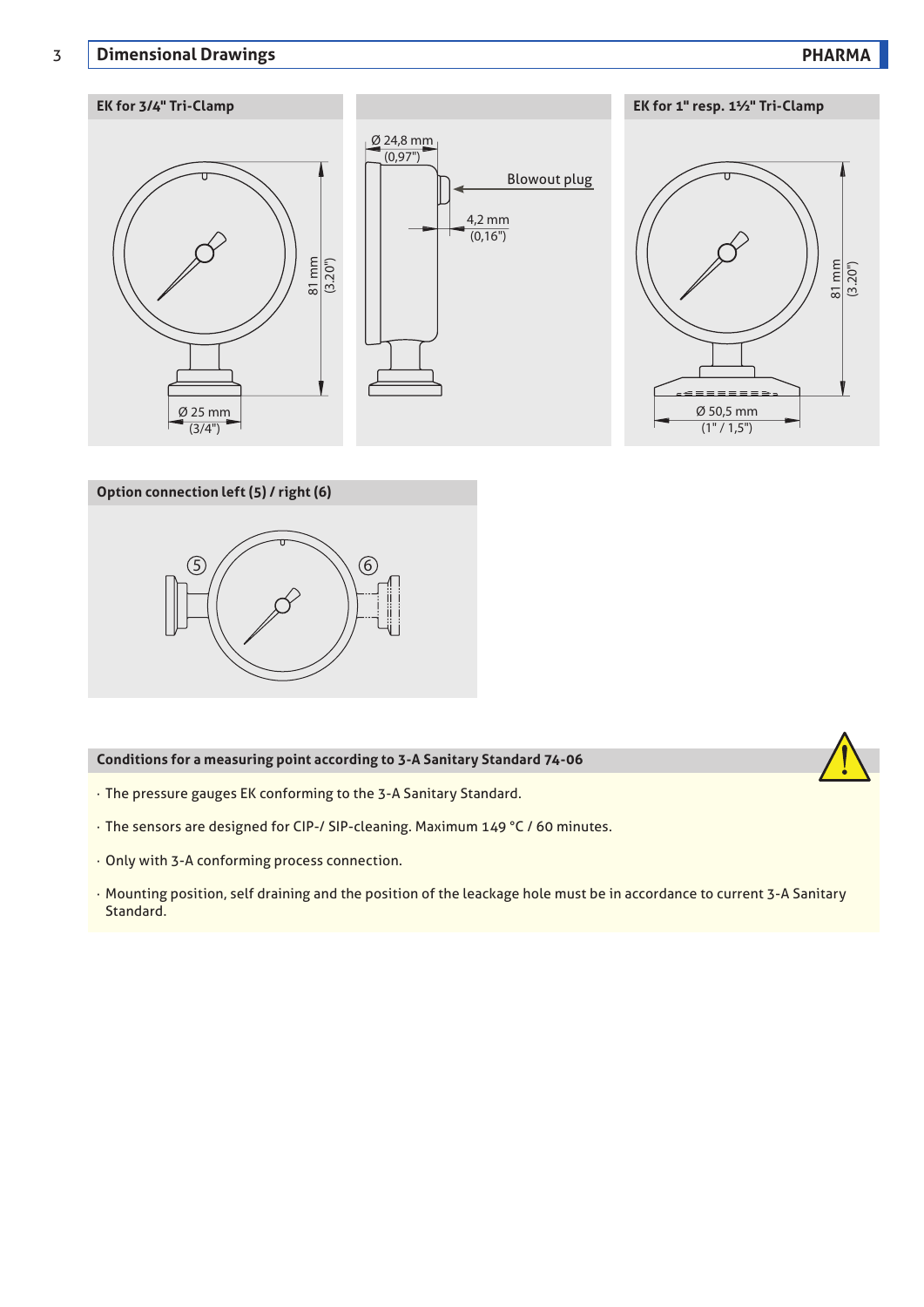### 3 **Dimensional Drawings PHARMA**

## **EK for 3/4" Tri-Clamp EK for 1" resp. 1½" Tri-Clamp**  $\emptyset$  24,8 mm  $(0,97")$ 4,2 mm  $(0,16")$ Ø 25 mm  $(3/4")$ 81 mm (3.20") Ø 50,5 mm  $(1" / 1,5")$ 81 mm (3.20") Blowout plug

### **Option connection left (5) / right (6)**



### **Conditions for a measuring point according to 3-A Sanitary Standard 74-06**

- · The pressure gauges EK conforming to the 3-A Sanitary Standard.
- · The sensors are designed for CIP-/ SIP-cleaning. Maximum 149 °C / 60 minutes.
- · Only with 3-A conforming process connection.
- · Mounting position, self draining and the position of the leackage hole must be in accordance to current 3-A Sanitary Standard.